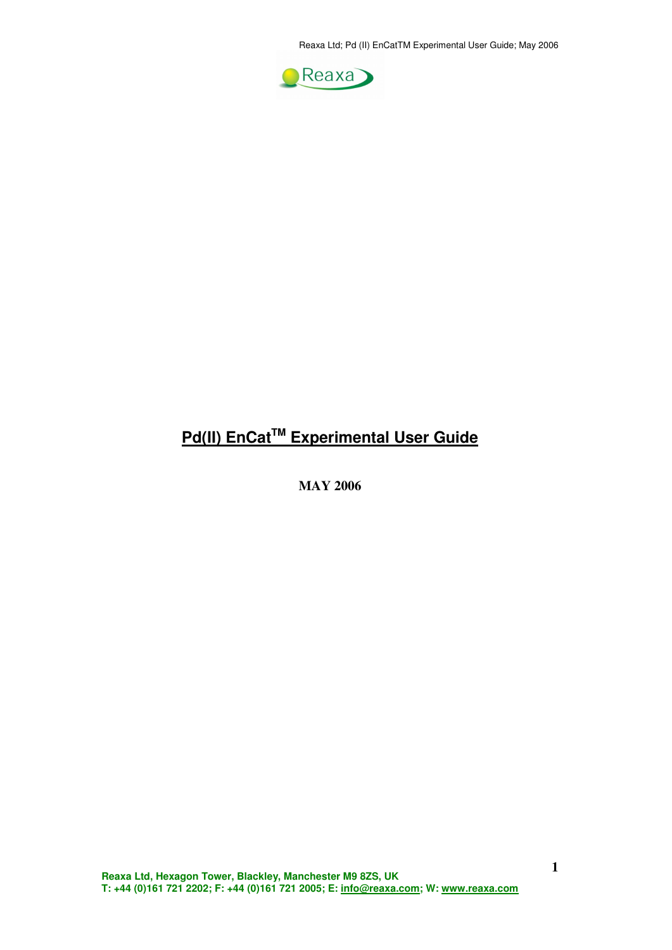Reaxa Ltd; Pd (II) EnCatTM Experimental User Guide; May 2006



## **Pd(II) EnCatTM Experimental User Guide**

**MAY 2006**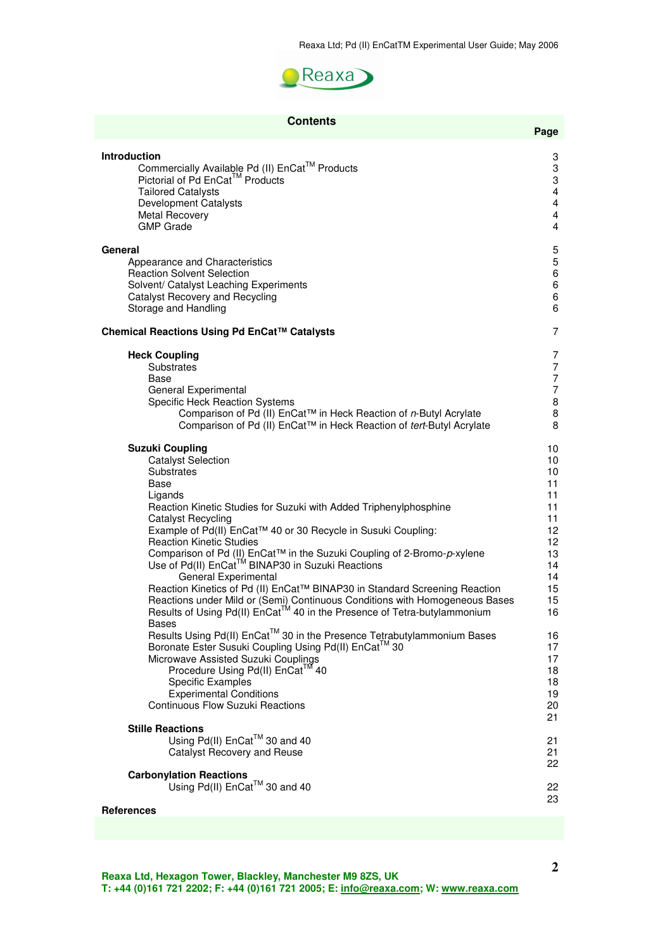

| <b>Contents</b>                                                                       | Page            |
|---------------------------------------------------------------------------------------|-----------------|
| Introduction                                                                          | 3               |
| Commercially Available Pd (II) EnCat™ Products                                        | 3               |
| Pictorial of Pd EnCat™ Products                                                       | 3               |
| <b>Tailored Catalysts</b>                                                             | $\overline{4}$  |
| Development Catalysts                                                                 | 4               |
| <b>Metal Recovery</b>                                                                 | 4               |
| <b>GMP Grade</b>                                                                      | 4               |
| General                                                                               | 5               |
| Appearance and Characteristics                                                        | $\overline{5}$  |
| <b>Reaction Solvent Selection</b>                                                     | 6               |
| Solvent/ Catalyst Leaching Experiments                                                | 6               |
| Catalyst Recovery and Recycling                                                       | 6               |
| Storage and Handling                                                                  | 6               |
| Chemical Reactions Using Pd EnCat™ Catalysts                                          | 7               |
| <b>Heck Coupling</b>                                                                  | 7               |
| Substrates                                                                            | 7               |
| Base                                                                                  | $\overline{7}$  |
| General Experimental                                                                  | $\overline{7}$  |
| <b>Specific Heck Reaction Systems</b>                                                 | 8               |
| Comparison of Pd (II) EnCat™ in Heck Reaction of n-Butyl Acrylate                     | 8               |
| Comparison of Pd (II) EnCat™ in Heck Reaction of tert-Butyl Acrylate                  | 8               |
| <b>Suzuki Coupling</b>                                                                | 10              |
| <b>Catalyst Selection</b>                                                             | 10              |
| Substrates                                                                            | 10              |
| Base                                                                                  | 11              |
| Ligands                                                                               | 11              |
| Reaction Kinetic Studies for Suzuki with Added Triphenylphosphine                     | 11              |
| Catalyst Recycling                                                                    | 11.             |
| Example of Pd(II) EnCat™ 40 or 30 Recycle in Susuki Coupling:                         | 12 <sup>2</sup> |
| <b>Reaction Kinetic Studies</b>                                                       | 12 <sub>2</sub> |
| Comparison of Pd (II) EnCat™ in the Suzuki Coupling of 2-Bromo-p-xylene               | 13              |
| Use of Pd(II) EnCat™ BINAP30 in Suzuki Reactions                                      | 14              |
| General Experimental                                                                  | 14              |
| Reaction Kinetics of Pd (II) EnCat™ BINAP30 in Standard Screening Reaction            | 15              |
| Reactions under Mild or (Semi) Continuous Conditions with Homogeneous Bases           | 15              |
| Results of Using Pd(II) EnCat <sup>TM</sup> 40 in the Presence of Tetra-butylammonium | 16              |
| <b>Bases</b>                                                                          | 16              |
| Results Using Pd(II) EnCat™ 30 in the Presence Tetrabutylammonium Bases               | 17              |
| Boronate Ester Susuki Coupling Using Pd(II) EnCat™ 30                                 | 17              |
| Microwave Assisted Suzuki Couplings                                                   | 18              |
| Procedure Using Pd(II) EnCat™ 40                                                      | 18              |
| <b>Specific Examples</b>                                                              | 19              |
| <b>Experimental Conditions</b>                                                        | 20              |
| <b>Continuous Flow Suzuki Reactions</b>                                               | 21              |
| <b>Stille Reactions</b><br>Using Pd(II) EnCat™ 30 and 40                              | 21              |
| Catalyst Recovery and Reuse                                                           | 21<br>22        |
| <b>Carbonylation Reactions</b><br>Using Pd(II) EnCat™ 30 and 40<br><b>References</b>  | 22<br>23        |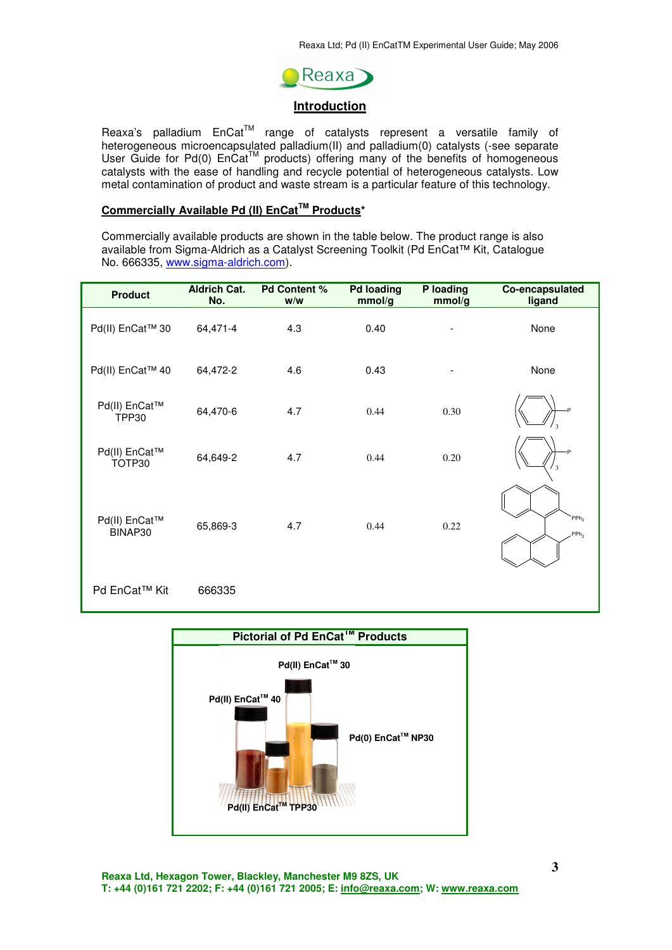

#### **Introduction**

Reaxa's palladium  $Encat<sup>TM</sup>$  range of catalysts represent a versatile family of heterogeneous microencapsulated palladium(II) and palladium(0) catalysts (-see separate User Guide for Pd(0)  $Encat^{TM}$  products) offering many of the benefits of homogeneous catalysts with the ease of handling and recycle potential of heterogeneous catalysts. Low metal contamination of product and waste stream is a particular feature of this technology.

## **Commercially Available Pd (II) EnCatTM Products\***

Commercially available products are shown in the table below. The product range is also available from Sigma-Aldrich as a Catalyst Screening Toolkit (Pd EnCat™ Kit, Catalogue No. 666335, www.sigma-aldrich.com).

| <b>Product</b>                | <b>Aldrich Cat.</b><br>No. | <b>Pd Content %</b><br>W/W | <b>Pd loading</b><br>mmol/g | P loading<br>mmol/g      | Co-encapsulated<br>ligand                       |
|-------------------------------|----------------------------|----------------------------|-----------------------------|--------------------------|-------------------------------------------------|
| Pd(II) EnCat™ 30              | 64,471-4                   | 4.3                        | 0.40                        | $\overline{\phantom{0}}$ | None                                            |
| Pd(II) EnCat™ 40              | 64,472-2                   | 4.6                        | 0.43                        |                          | None                                            |
| Pd(II) EnCat™<br><b>TPP30</b> | 64,470-6                   | 4.7                        | 0.44                        | 0.30                     |                                                 |
| Pd(II) EnCat™<br>TOTP30       | 64,649-2                   | 4.7                        | 0.44                        | 0.20                     | .p<br>$\overline{\mathbf{3}}$                   |
| Pd(II) EnCat™<br>BINAP30      | 65,869-3                   | 4.7                        | 0.44                        | 0.22                     | PPh <sub>2</sub><br>PP <sub>h<sub>2</sub></sub> |
| Pd EnCat™ Kit                 | 666335                     |                            |                             |                          |                                                 |

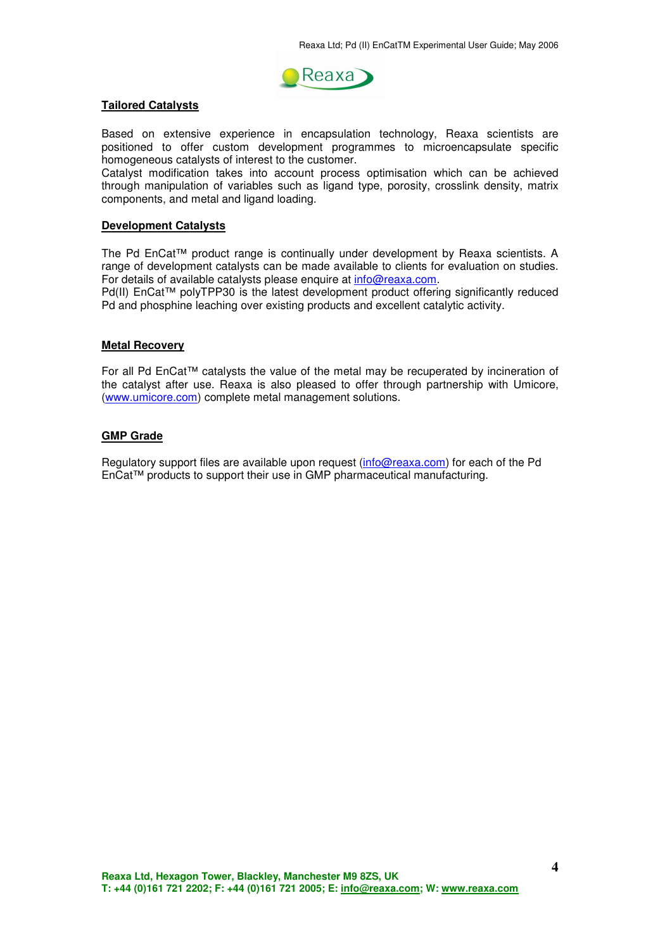

#### **Tailored Catalysts**

Based on extensive experience in encapsulation technology, Reaxa scientists are positioned to offer custom development programmes to microencapsulate specific homogeneous catalysts of interest to the customer.

Catalyst modification takes into account process optimisation which can be achieved through manipulation of variables such as ligand type, porosity, crosslink density, matrix components, and metal and ligand loading.

#### **Development Catalysts**

The Pd EnCat™ product range is continually under development by Reaxa scientists. A range of development catalysts can be made available to clients for evaluation on studies. For details of available catalysts please enquire at **info@reaxa.com**.

Pd(II) EnCat™ polyTPP30 is the latest development product offering significantly reduced Pd and phosphine leaching over existing products and excellent catalytic activity.

#### **Metal Recovery**

For all Pd EnCat™ catalysts the value of the metal may be recuperated by incineration of the catalyst after use. Reaxa is also pleased to offer through partnership with Umicore, (www.umicore.com) complete metal management solutions.

#### **GMP Grade**

Regulatory support files are available upon request (info@reaxa.com) for each of the Pd EnCat™ products to support their use in GMP pharmaceutical manufacturing.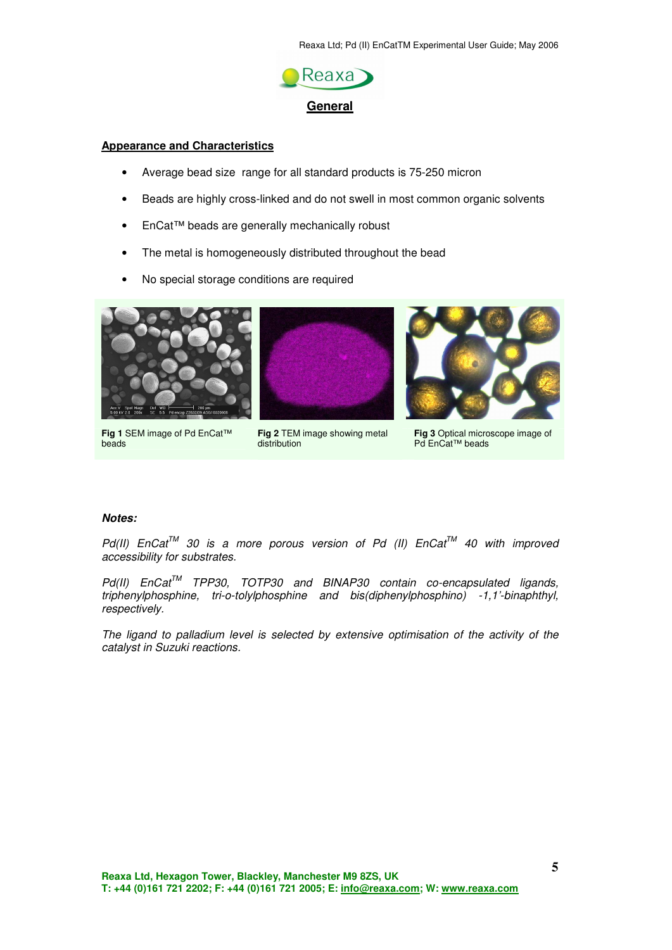

#### **Appearance and Characteristics**

- Average bead size range for all standard products is 75-250 micron
- Beads are highly cross-linked and do not swell in most common organic solvents
- EnCat™ beads are generally mechanically robust
- The metal is homogeneously distributed throughout the bead
- No special storage conditions are required



**Fig 1** SEM image of Pd EnCat™ beads





**Fig 3** Optical microscope image of Pd EnCat™ beads

#### **Notes:**

 $Pd(II)$  EnCat<sup>TM</sup> 30 is a more porous version of Pd (II) EnCat<sup>TM</sup> 40 with improved accessibility for substrates.

Pd(II) EnCat<sup>™</sup> TPP30, TOTP30 and BINAP30 contain co-encapsulated ligands, triphenylphosphine, tri-o-tolylphosphine and bis(diphenylphosphino) -1,1'-binaphthyl, respectively.

The ligand to palladium level is selected by extensive optimisation of the activity of the catalyst in Suzuki reactions.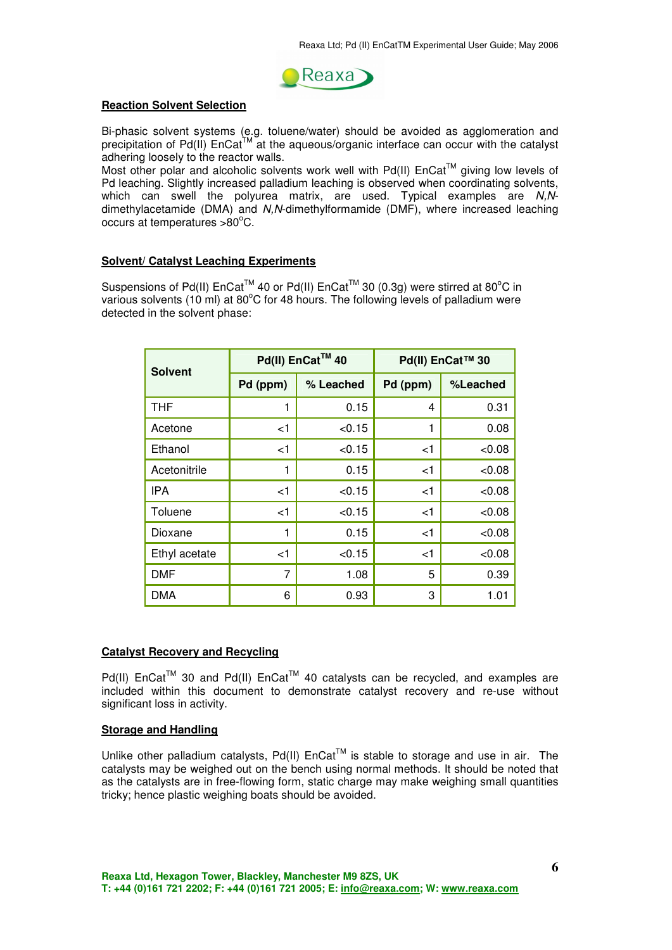

#### **Reaction Solvent Selection**

Bi-phasic solvent systems (e.g. toluene/water) should be avoided as agglomeration and precipitation of Pd(II)  $Encat^M$  at the aqueous/organic interface can occur with the catalyst adhering loosely to the reactor walls.

Most other polar and alcoholic solvents work well with  $Pd(II)$  EnCat<sup>TM</sup> giving low levels of Pd leaching. Slightly increased palladium leaching is observed when coordinating solvents, which can swell the polyurea matrix, are used. Typical examples are N,Ndimethylacetamide (DMA) and N,N-dimethylformamide (DMF), where increased leaching occurs at temperatures  $>80^{\circ}$ C.

#### **Solvent/ Catalyst Leaching Experiments**

Suspensions of Pd(II)  $Encat^{TM}$  40 or Pd(II)  $Encat^{TM}$  30 (0.3g) were stirred at 80°C in various solvents (10 ml) at 80°C for 48 hours. The following levels of palladium were detected in the solvent phase:

| <b>Solvent</b> |          | Pd(II) EnCat™ 40 | Pd(II) EnCat™ 30 |          |
|----------------|----------|------------------|------------------|----------|
|                | Pd (ppm) | % Leached        | Pd (ppm)         | %Leached |
| THF            | 1        | 0.15             | 4                | 0.31     |
| Acetone        | $<$ 1    | < 0.15           | 1                | 0.08     |
| Ethanol        | $<$ 1    | < 0.15           | $<$ 1            | < 0.08   |
| Acetonitrile   | 1        | 0.15             | $<$ 1            | < 0.08   |
| IPA            | $<$ 1    | < 0.15           | $<$ 1            | < 0.08   |
| Toluene        | $<$ 1    | < 0.15           | $<$ 1            | < 0.08   |
| Dioxane        | 1        | 0.15             | $<$ 1            | < 0.08   |
| Ethyl acetate  | $<$ 1    | < 0.15           | $<$ 1            | &0.08    |
| DMF            | 7        | 1.08             | 5                | 0.39     |
| DMA            | 6        | 0.93             | 3                | 1.01     |

#### **Catalyst Recovery and Recycling**

 $Pd(II)$  EnCat<sup>TM</sup> 30 and Pd(II) EnCat<sup>TM</sup> 40 catalysts can be recycled, and examples are included within this document to demonstrate catalyst recovery and re-use without significant loss in activity.

#### **Storage and Handling**

Unlike other palladium catalysts, Pd(II)  $End^{\text{TM}}$  is stable to storage and use in air. The catalysts may be weighed out on the bench using normal methods. It should be noted that as the catalysts are in free-flowing form, static charge may make weighing small quantities tricky; hence plastic weighing boats should be avoided.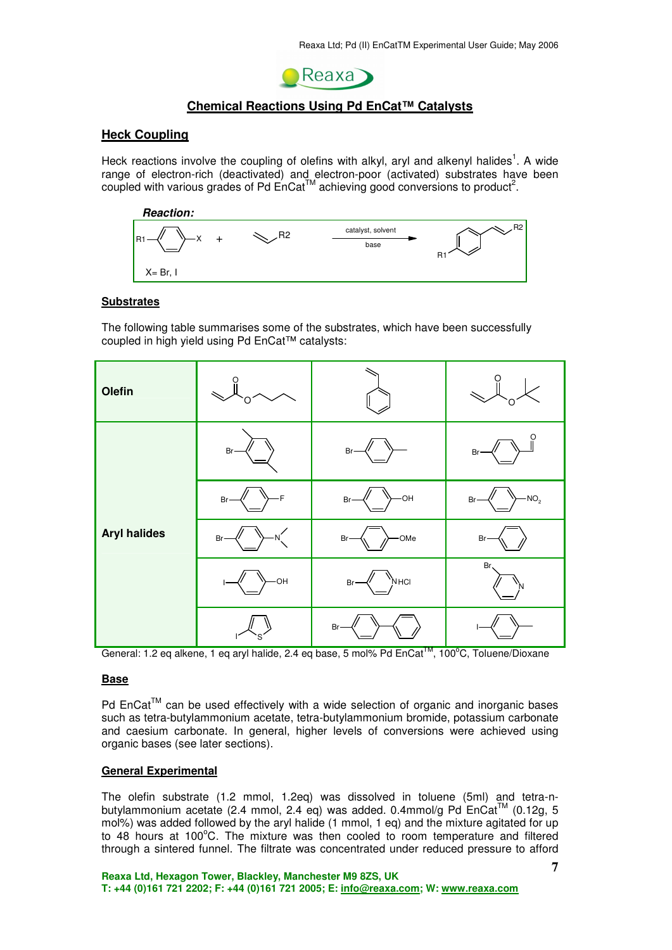

## **Chemical Reactions Using Pd EnCat™ Catalysts**

#### **Heck Coupling**

Heck reactions involve the coupling of olefins with alkyl, aryl and alkenyl halides<sup>1</sup>. A wide range of electron-rich (deactivated) and electron-poor (activated) substrates have been coupled with various grades of Pd  $\text{Enc}^{\text{TM}}$  achieving good conversions to product<sup>2</sup>.



#### **Substrates**

The following table summarises some of the substrates, which have been successfully coupled in high yield using Pd EnCat™ catalysts:

| Olefin              |              |                                  |               |
|---------------------|--------------|----------------------------------|---------------|
|                     | Br-          | $Br-$                            | $Br-$         |
|                     | -F<br>$Br-$  | $-$ OH<br>Br-                    | $-NO2$<br>Br- |
| <b>Aryl halides</b> | $Br-$<br>-N) | -OMe<br>Br-                      | Br-           |
|                     | $-$ OH       | "N <sub>HCI</sub><br>$Br-$<br>Ų. | Br<br>N       |
|                     |              | Br-                              |               |

General: 1.2 eq alkene, 1 eq aryl halide, 2.4 eq base, 5 mol% Pd EnCat<sup>™</sup>, 100<sup>o</sup>C, Toluene/Dioxane

#### **Base**

Pd  $End<sup>TM</sup>$  can be used effectively with a wide selection of organic and inorganic bases such as tetra-butylammonium acetate, tetra-butylammonium bromide, potassium carbonate and caesium carbonate. In general, higher levels of conversions were achieved using organic bases (see later sections).

#### **General Experimental**

The olefin substrate (1.2 mmol, 1.2eq) was dissolved in toluene (5ml) and tetra-nbutylammonium acetate (2.4 mmol, 2.4 eq) was added. 0.4mmol/g Pd EnCat™ (0.12g, 5 mol%) was added followed by the aryl halide (1 mmol, 1 eq) and the mixture agitated for up to 48 hours at  $100^{\circ}$ C. The mixture was then cooled to room temperature and filtered through a sintered funnel. The filtrate was concentrated under reduced pressure to afford

**Reaxa Ltd, Hexagon Tower, Blackley, Manchester M9 8ZS, UK T: +44 (0)161 721 2202; F: +44 (0)161 721 2005; E: info@reaxa.com; W: www.reaxa.com**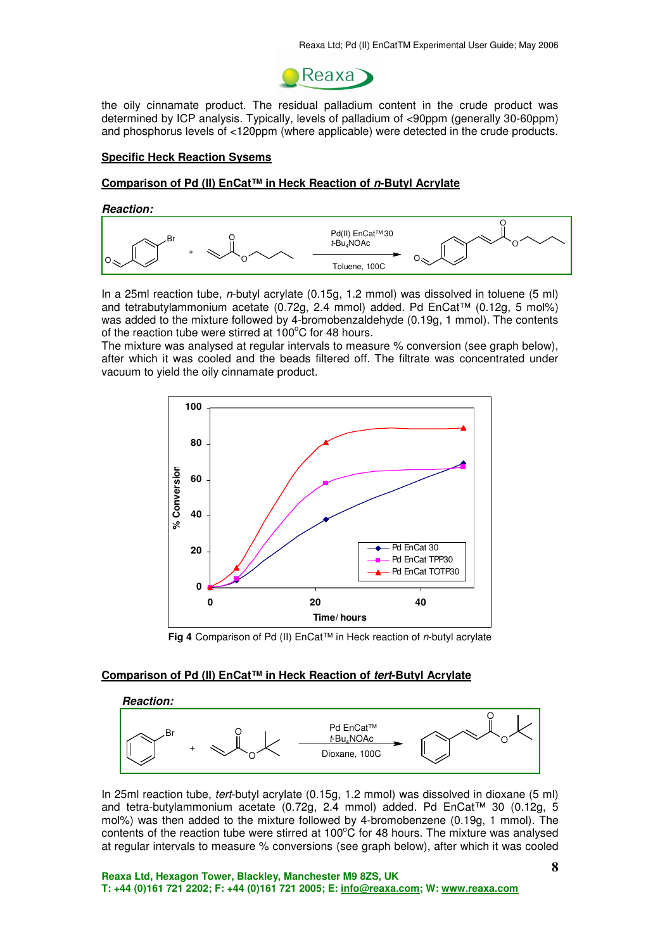

the oily cinnamate product. The residual palladium content in the crude product was determined by ICP analysis. Typically, levels of palladium of <90ppm (generally 30-60ppm) and phosphorus levels of <120ppm (where applicable) were detected in the crude products.

#### **Specific Heck Reaction Sysems**

#### **Comparison of Pd (II) EnCat™ in Heck Reaction of n-Butyl Acrylate**

#### **Reaction:**



In a 25ml reaction tube, n-butyl acrylate (0.15g, 1.2 mmol) was dissolved in toluene (5 ml) and tetrabutylammonium acetate (0.72g, 2.4 mmol) added. Pd EnCat™ (0.12g, 5 mol%) was added to the mixture followed by 4-bromobenzaldehyde (0.19g, 1 mmol). The contents of the reaction tube were stirred at  $100^{\circ}$ C for 48 hours.

The mixture was analysed at regular intervals to measure % conversion (see graph below), after which it was cooled and the beads filtered off. The filtrate was concentrated under vacuum to yield the oily cinnamate product.



**Fig 4** Comparison of Pd (II) EnCat™ in Heck reaction of n-butyl acrylate

#### **Comparison of Pd (II) EnCat™ in Heck Reaction of tert-Butyl Acrylate**



In 25ml reaction tube, tert-butyl acrylate (0.15g, 1.2 mmol) was dissolved in dioxane (5 ml) and tetra-butylammonium acetate (0.72g, 2.4 mmol) added. Pd EnCat™ 30 (0.12g, 5 mol%) was then added to the mixture followed by 4-bromobenzene (0.19g, 1 mmol). The contents of the reaction tube were stirred at  $100^{\circ}$ C for 48 hours. The mixture was analysed at regular intervals to measure % conversions (see graph below), after which it was cooled

**Reaxa Ltd, Hexagon Tower, Blackley, Manchester M9 8ZS, UK T: +44 (0)161 721 2202; F: +44 (0)161 721 2005; E: info@reaxa.com; W: www.reaxa.com**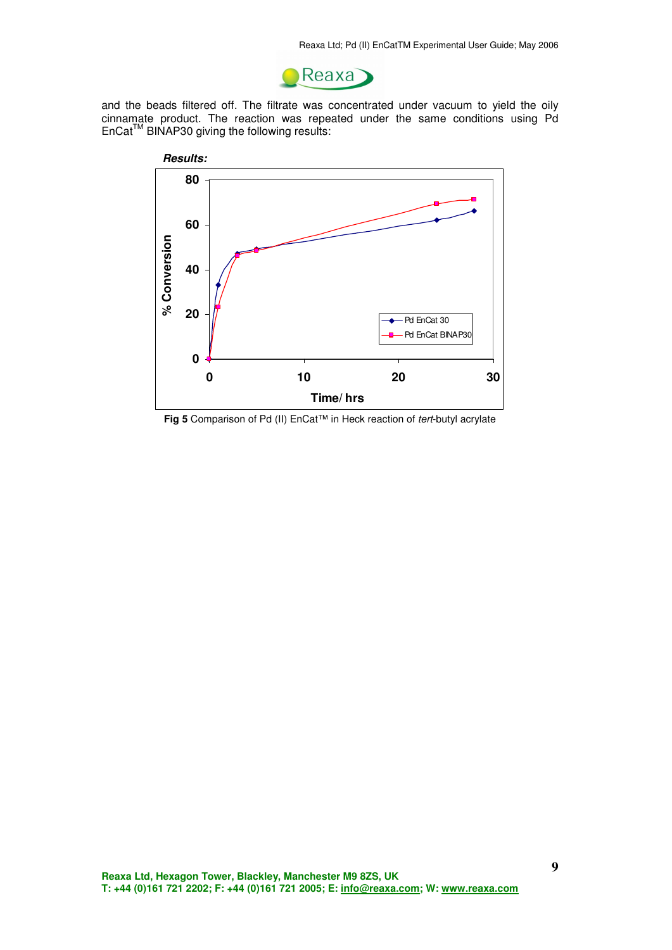

and the beads filtered off. The filtrate was concentrated under vacuum to yield the oily cinnamate product. The reaction was repeated under the same conditions using Pd  $Enccat<sup>TM</sup> BINAP30$  giving the following results:



**Fig 5** Comparison of Pd (II) EnCat™ in Heck reaction of tert-butyl acrylate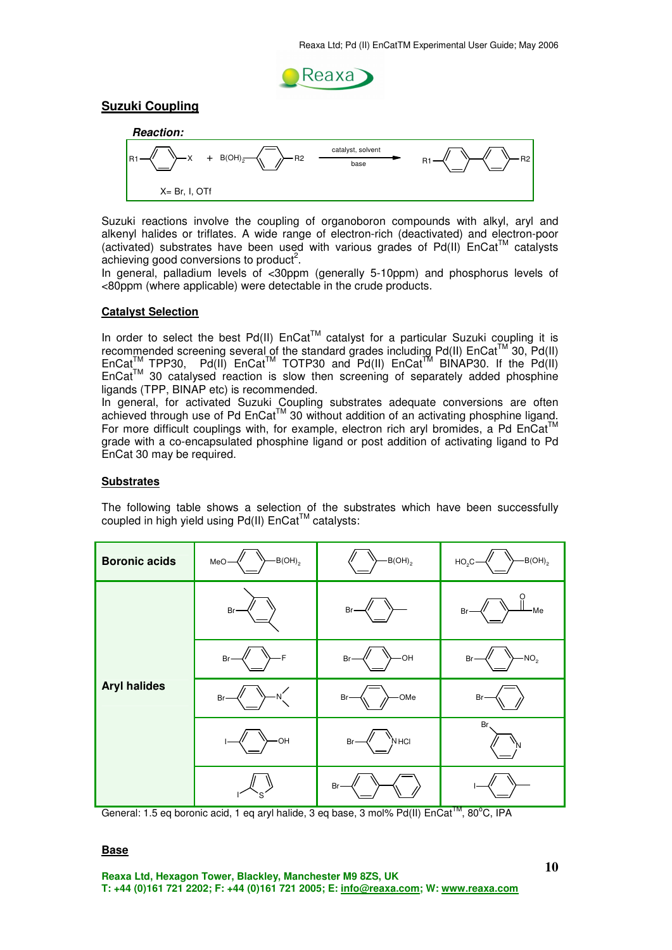

## **Suzuki Coupling**



Suzuki reactions involve the coupling of organoboron compounds with alkyl, aryl and alkenyl halides or triflates. A wide range of electron-rich (deactivated) and electron-poor (activated) substrates have been used with various grades of Pd(II)  $Encat<sup>TM</sup>$  catalysts achieving good conversions to product<sup>2</sup>.

In general, palladium levels of <30ppm (generally 5-10ppm) and phosphorus levels of <80ppm (where applicable) were detectable in the crude products.

#### **Catalyst Selection**

In order to select the best Pd(II)  $Endat^{\text{TM}}$  catalyst for a particular Suzuki coupling it is recommended screening several of the standard grades including Pd(II)  $\text{Enc}^{\text{TM}}$  30, Pd(II)  $Endat_{\text{max}}^{\text{TM}}$  TPP30, Pd(II)  $Endat_{\text{max}}^{\text{TM}}$  TOTP30 and Pd(II)  $Endat_{\text{max}}^{\text{TM}}$  BINAP30. If the Pd(II)  $Encat<sup>TM</sup>$  30 catalysed reaction is slow then screening of separately added phosphine ligands (TPP, BINAP etc) is recommended.

In general, for activated Suzuki Coupling substrates adequate conversions are often achieved through use of Pd EnCat™ 30 without addition of an activating phosphine ligand. For more difficult couplings with, for example, electron rich aryl bromides, a Pd EnCat™ grade with a co-encapsulated phosphine ligand or post addition of activating ligand to Pd EnCat 30 may be required.

#### **Substrates**

The following table shows a selection of the substrates which have been successfully coupled in high yield using Pd(II)  $\text{Enc}^{\text{TM}}$  catalysts:

| <b>Boronic acids</b> | $-B(OH)_{2}$<br>MeO- | $-B(OH)_{2}$    | $-B(OH)_{2}$<br>$HO2$ C- |
|----------------------|----------------------|-----------------|--------------------------|
|                      | Br-                  | Br-             | -Me<br>$Br-$             |
|                      | -F<br>Br-            | $-OH$<br>$Br-$  | $-NO2$<br>$Br -$         |
| <b>Aryl halides</b>  | $Br-$<br>'N.         | -OMe<br>Br-     | Br-                      |
|                      | HO-                  | ``Мнсі<br>$Br-$ | Br,<br>'N                |
|                      |                      | Br-             |                          |

General: 1.5 eq boronic acid, 1 eq aryl halide, 3 eq base, 3 mol% Pd(II) EnCat<sup>™</sup>, 80°C, IPA

## **Base**

**Reaxa Ltd, Hexagon Tower, Blackley, Manchester M9 8ZS, UK T: +44 (0)161 721 2202; F: +44 (0)161 721 2005; E: info@reaxa.com; W: www.reaxa.com**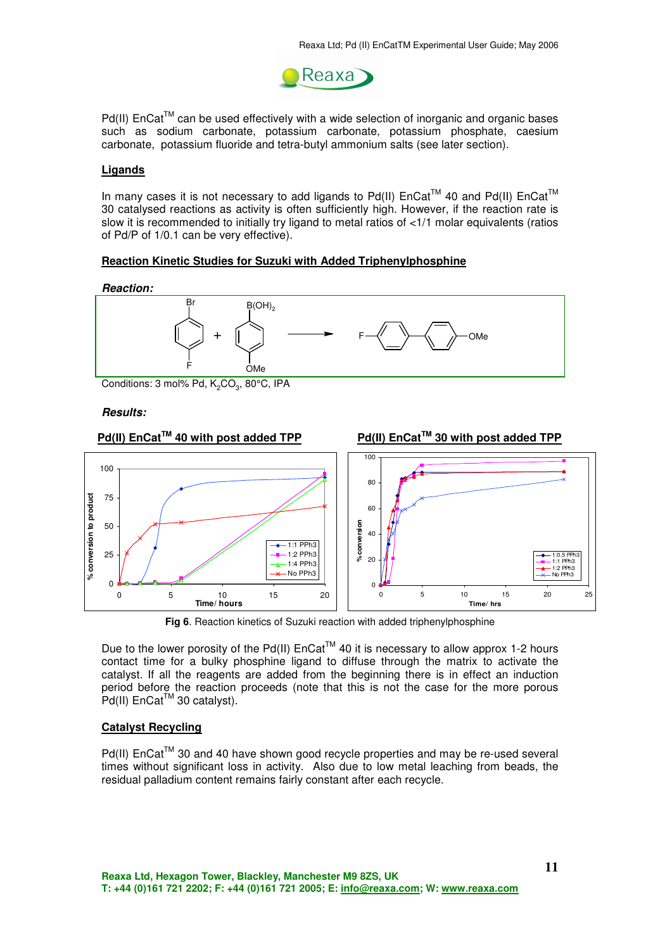

Pd(II) EnCat™ can be used effectively with a wide selection of inorganic and organic bases such as sodium carbonate, potassium carbonate, potassium phosphate, caesium carbonate, potassium fluoride and tetra-butyl ammonium salts (see later section).

#### **Ligands**

In many cases it is not necessary to add ligands to Pd(II)  $EnCat^{TM}$  40 and Pd(II)  $Encat^{TM}$ 30 catalysed reactions as activity is often sufficiently high. However, if the reaction rate is slow it is recommended to initially try ligand to metal ratios of <1/1 molar equivalents (ratios of Pd/P of 1/0.1 can be very effective).

#### **Reaction Kinetic Studies for Suzuki with Added Triphenylphosphine**

**Reaction:** 



Conditions: 3 mol% Pd,  $K_2CO_3$ , 80°C, IPA

#### **Results:**



**Fig 6**. Reaction kinetics of Suzuki reaction with added triphenylphosphine

Due to the lower porosity of the Pd(II)  $End^{\text{TM}}$  40 it is necessary to allow approx 1-2 hours contact time for a bulky phosphine ligand to diffuse through the matrix to activate the catalyst. If all the reagents are added from the beginning there is in effect an induction period before the reaction proceeds (note that this is not the case for the more porous  $Pd(II)$  EnCat<sup>TM</sup> 30 catalyst).

#### **Catalyst Recycling**

Pd(II) EnCat™ 30 and 40 have shown good recycle properties and may be re-used several times without significant loss in activity. Also due to low metal leaching from beads, the residual palladium content remains fairly constant after each recycle.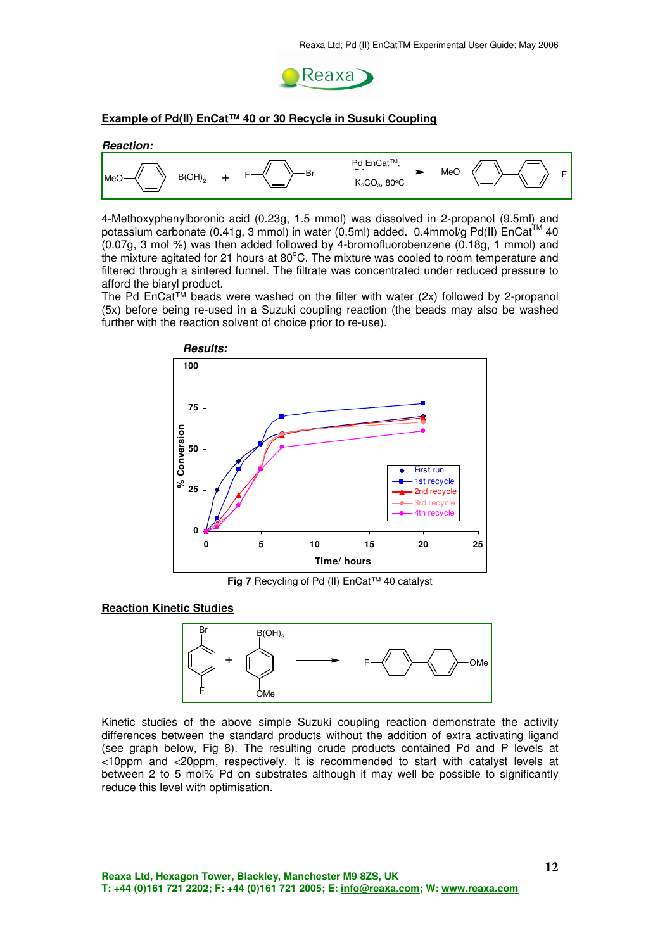

#### **Example of Pd(II) EnCat™ 40 or 30 Recycle in Susuki Coupling**



4-Methoxyphenylboronic acid (0.23g, 1.5 mmol) was dissolved in 2-propanol (9.5ml) and potassium carbonate (0.41g, 3 mmol) in water (0.5ml) added. 0.4mmol/g Pd(II)  $\text{Encat}^{\text{TM}}$  40 (0.07g, 3 mol %) was then added followed by 4-bromofluorobenzene (0.18g, 1 mmol) and the mixture agitated for 21 hours at 80°C. The mixture was cooled to room temperature and filtered through a sintered funnel. The filtrate was concentrated under reduced pressure to afford the biaryl product.

The Pd EnCat<sup>TM</sup> beads were washed on the filter with water (2x) followed by 2-propanol (5x) before being re-used in a Suzuki coupling reaction (the beads may also be washed further with the reaction solvent of choice prior to re-use).



**Fig 7** Recycling of Pd (II) EnCat™ 40 catalyst

#### **Reaction Kinetic Studies**



Kinetic studies of the above simple Suzuki coupling reaction demonstrate the activity differences between the standard products without the addition of extra activating ligand (see graph below, Fig 8). The resulting crude products contained Pd and P levels at <10ppm and <20ppm, respectively. It is recommended to start with catalyst levels at between 2 to 5 mol% Pd on substrates although it may well be possible to significantly reduce this level with optimisation.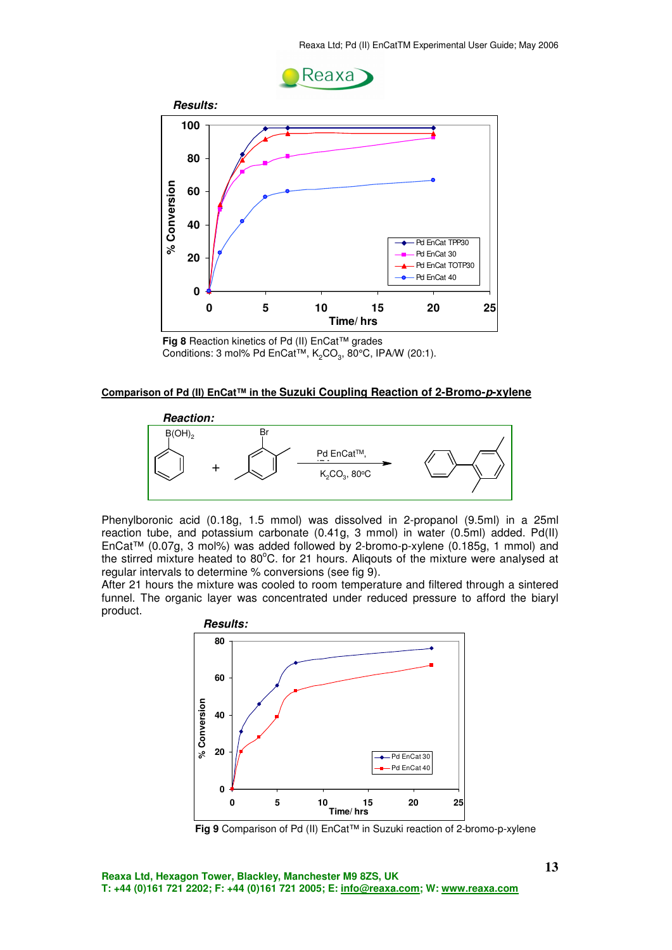



**Fig 8** Reaction kinetics of Pd (II) EnCat™ grades Conditions: 3 mol% Pd EnCat<sup>TM</sup>,  $K_2CO_3$ , 80°C, IPA/W (20:1).

#### **Comparison of Pd (II) EnCat™ in the Suzuki Coupling Reaction of 2-Bromo-p-xylene**



Phenylboronic acid (0.18g, 1.5 mmol) was dissolved in 2-propanol (9.5ml) in a 25ml reaction tube, and potassium carbonate (0.41g, 3 mmol) in water (0.5ml) added. Pd(II) EnCat™ (0.07g, 3 mol%) was added followed by 2-bromo-p-xylene (0.185g, 1 mmol) and the stirred mixture heated to 80°C. for 21 hours. Aliqouts of the mixture were analysed at regular intervals to determine % conversions (see fig 9).

After 21 hours the mixture was cooled to room temperature and filtered through a sintered funnel. The organic layer was concentrated under reduced pressure to afford the biaryl product.



**Fig 9** Comparison of Pd (II) EnCat™ in Suzuki reaction of 2-bromo-p-xylene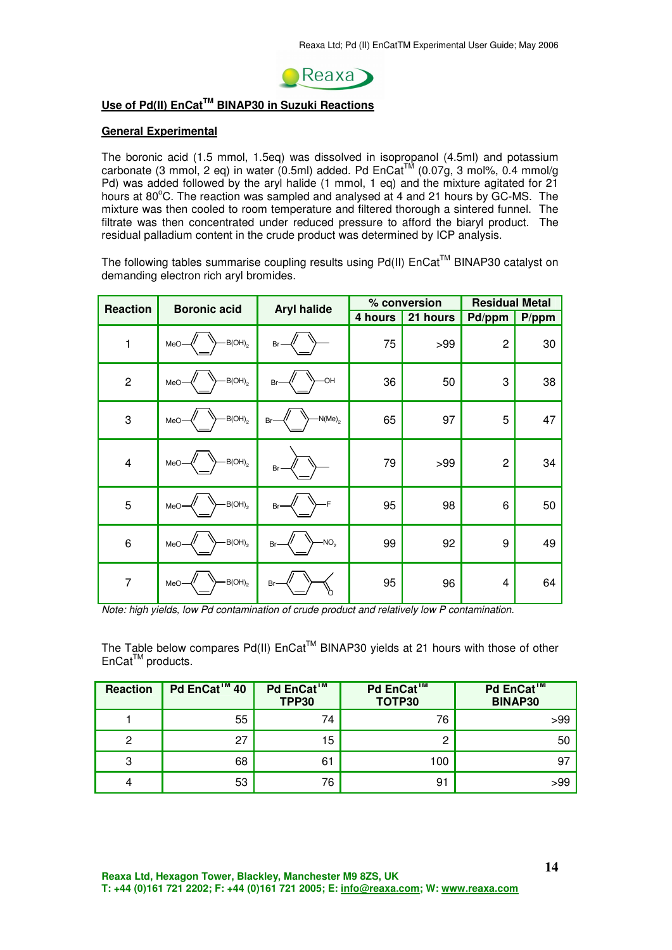

## **Use of Pd(II) EnCatTM BINAP30 in Suzuki Reactions**

#### **General Experimental**

The boronic acid (1.5 mmol, 1.5eq) was dissolved in isopropanol (4.5ml) and potassium carbonate (3 mmol, 2 eq) in water (0.5ml) added. Pd  $\text{Encat}^{\text{TM}}$  (0.07g, 3 mol%, 0.4 mmol/g Pd) was added followed by the aryl halide (1 mmol, 1 eq) and the mixture agitated for 21 hours at 80°C. The reaction was sampled and analysed at 4 and 21 hours by GC-MS. The mixture was then cooled to room temperature and filtered thorough a sintered funnel. The filtrate was then concentrated under reduced pressure to afford the biaryl product. The residual palladium content in the crude product was determined by ICP analysis.

The following tables summarise coupling results using  $Pd(II)$  EnCat<sup>TM</sup> BINAP30 catalyst on demanding electron rich aryl bromides.

| <b>Reaction</b> | <b>Boronic acid</b>         | <b>Aryl halide</b>     |         | % conversion | <b>Residual Metal</b> |          |
|-----------------|-----------------------------|------------------------|---------|--------------|-----------------------|----------|
|                 |                             |                        | 4 hours | 21 hours     | Pd/ppm                | $P$ /ppm |
| 1               | $-B(OH)_{2}$<br>MeO-        | Br-                    | 75      | >99          | $\overline{c}$        | 30       |
| $\overline{2}$  | $-B(OH)_{2}$<br>MeO         | -OH<br>Br              | 36      | 50           | 3                     | 38       |
| 3               | $-B(OH)_{2}$<br>MeO-        | $-N(Me)_2$<br>Br-      | 65      | 97           | 5                     | 47       |
| $\overline{4}$  | $-B(OH)_{2}$<br>MeO·        | Br                     | 79      | >99          | $\overline{c}$        | 34       |
| 5               | $-B(OH)_{2}$<br>MeO         | F<br>Br-               | 95      | 98           | 6                     | 50       |
| 6               | $B(OH)$ <sub>2</sub><br>MeO | NO <sub>2</sub><br>Br· | 99      | 92           | 9                     | 49       |
| $\overline{7}$  | $-B(OH)_{2}$<br>MeO-        | Br-                    | 95      | 96           | 4                     | 64       |

Note: high yields, low Pd contamination of crude product and relatively low P contamination.

The Table below compares Pd(II) EnCat™ BINAP30 yields at 21 hours with those of other  $Encat<sup>TM</sup>$  products.

| <b>Reaction</b> | Pd EnCat <sup>™</sup> 40 | Pd EnCat™<br><b>TPP30</b> | Pd EnCat™<br>TOTP30 | Pd EnCat <sup>™</sup><br><b>BINAP30</b> |
|-----------------|--------------------------|---------------------------|---------------------|-----------------------------------------|
|                 | 55                       | 74                        | 76                  | >99                                     |
| 2               | 27                       | 15                        | C                   | 50                                      |
| 3               | 68                       | 61                        | 100                 | 97                                      |
|                 | 53                       | 76                        | 91                  | >99                                     |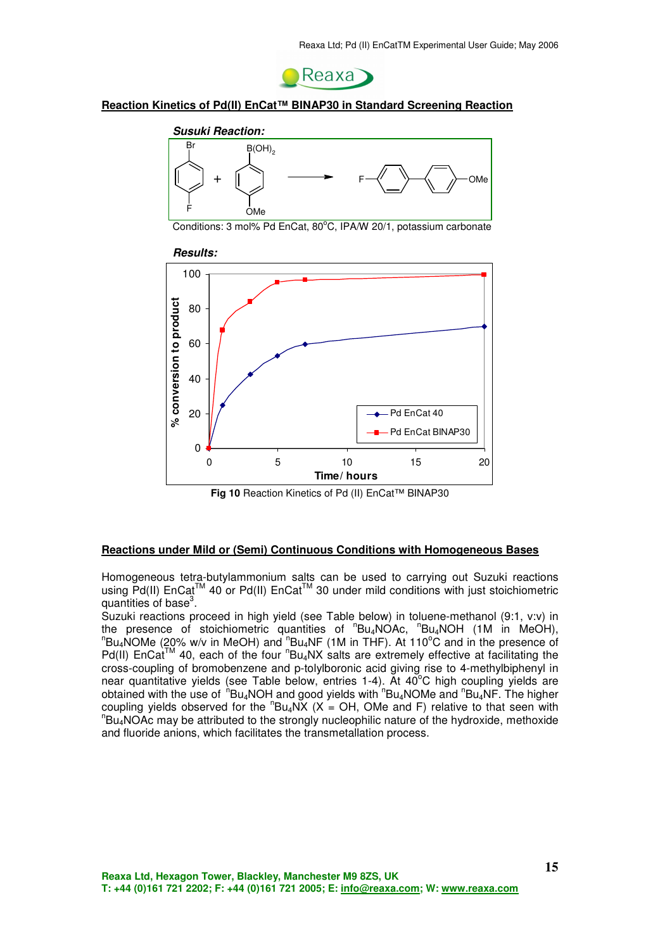

#### **Reaction Kinetics of Pd(II) EnCat™ BINAP30 in Standard Screening Reaction**



Conditions: 3 mol% Pd EnCat, 80°C, IPA/W 20/1, potassium carbonate



**Fig 10** Reaction Kinetics of Pd (II) EnCat™ BINAP30

#### **Reactions under Mild or (Semi) Continuous Conditions with Homogeneous Bases**

Homogeneous tetra-butylammonium salts can be used to carrying out Suzuki reactions using Pd(II) EnCat<sup>™</sup> 40 or Pd(II) EnCat<sup>™</sup> 30 under mild conditions with just stoichiometric quantities of base<sup>3</sup>.

Suzuki reactions proceed in high yield (see Table below) in toluene-methanol (9:1, v:v) in the presence of stoichiometric quantities of "Bu<sub>4</sub>NOAc, "Bu<sub>4</sub>NOH (1M in MeOH),  $n_{\text{Bu}_4}$ NOMe (20% w/v in MeOH) and  $n_{\text{Bu}_4}$ NF (1M in THF). At 110°C and in the presence of  $Pd(II)$  EnCat<sup>TM</sup> 40, each of the four  ${}^{n}Bu_4NX$  salts are extremely effective at facilitating the cross-coupling of bromobenzene and p-tolylboronic acid giving rise to 4-methylbiphenyl in near quantitative yields (see Table below, entries 1-4). At  $40^{\circ}$ C high coupling yields are obtained with the use of  $h$ <sup>h</sup>Bu<sub>4</sub>NOH and good yields with  $h$ <sup>n</sup>Bu<sub>4</sub>NOMe and  $h$ Bu<sub>4</sub>NF. The higher coupling yields observed for the  $"Bu_4NX$  (X = OH, OMe and F) relative to that seen with <sup>n</sup>Bu<sub>4</sub>NOAc may be attributed to the strongly nucleophilic nature of the hydroxide, methoxide and fluoride anions, which facilitates the transmetallation process.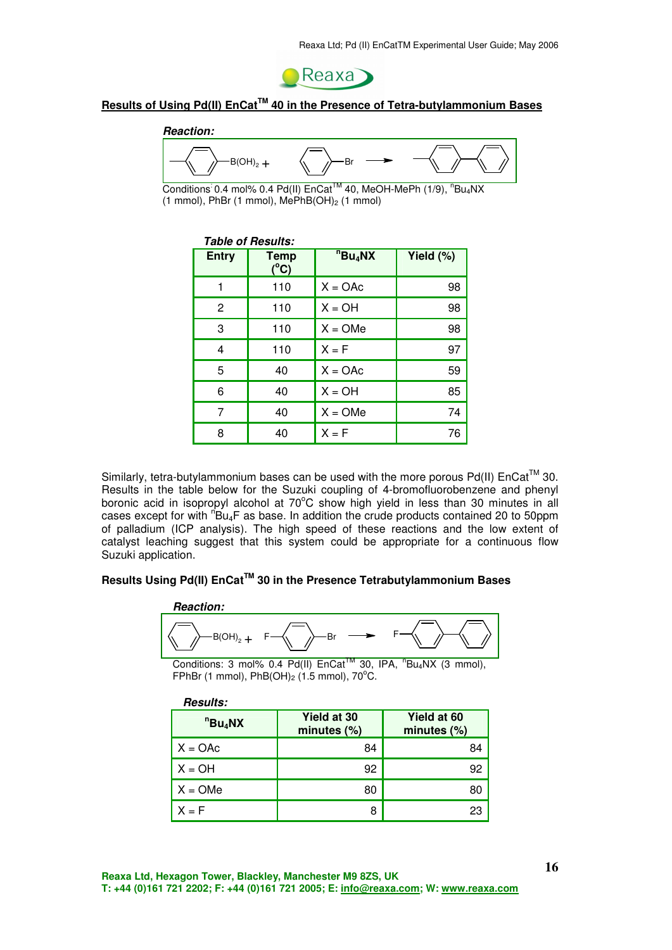

## **Results of Using Pd(II) EnCatTM 40 in the Presence of Tetra-butylammonium Bases**

# **Reaction:**  $B(OH)_2 +$

Conditions 0.4 mol% 0.4 Pd(II) EnCat<sup>™</sup> 40, MeOH-MePh (1/9), <sup>n</sup>Bu<sub>4</sub>NX (1 mmol), PhBr (1 mmol),  $MePhB(OH)<sub>2</sub>$  (1 mmol)

| <b>Table of Results:</b> |                              |                      |           |  |  |
|--------------------------|------------------------------|----------------------|-----------|--|--|
| <b>Entry</b>             | <b>Temp</b><br>$(^{\circ}C)$ | $n_{\text{B}u_4}$ NX | Yield (%) |  |  |
| 1                        | 110                          | $X = OAC$            | 98        |  |  |
| $\overline{c}$           | 110                          | $X = OH$             | 98        |  |  |
| 3                        | 110                          | $X = OMe$            | 98        |  |  |
| 4                        | 110                          | $X = F$              | 97        |  |  |
| 5                        | 40                           | $X = OAC$            | 59        |  |  |
| 6                        | 40                           | $X = OH$             | 85        |  |  |
| 7                        | 40                           | $X = OMe$            | 74        |  |  |
| 8                        | 40                           | $X = F$              | 76        |  |  |

Similarly, tetra-butylammonium bases can be used with the more porous Pd(II)  $\text{Encat}^{\text{TM}}$  30. Results in the table below for the Suzuki coupling of 4-bromofluorobenzene and phenyl boronic acid in isopropyl alcohol at 70°C show high yield in less than 30 minutes in all cases except for with  $n_{\text{Bu}_4F}$  as base. In addition the crude products contained 20 to 50ppm of palladium (ICP analysis). The high speed of these reactions and the low extent of catalyst leaching suggest that this system could be appropriate for a continuous flow Suzuki application.

## **Results Using Pd(II) EnCatTM 30 in the Presence Tetrabutylammonium Bases**



Conditions: 3 mol% 0.4 Pd(II)  $\text{Encat}^{\text{TM}}$  30, IPA,  $\text{``Bu4NX}$  (3 mmol), FPhBr (1 mmol), PhB(OH)<sub>2</sub> (1.5 mmol), 70 $^{\circ}$ C.

| <b>Results:</b>      |                               |                            |
|----------------------|-------------------------------|----------------------------|
| $n_{\text{B}u_4}$ NX | Yield at 30<br>minutes $(\%)$ | Yield at 60<br>minutes (%) |
| $X = OAC$            | 84                            | 84                         |
| $X = OH$             | 92                            | 92                         |
| $X = OMe$            | 80                            | 80                         |
| $X = F$              | 8                             | 23                         |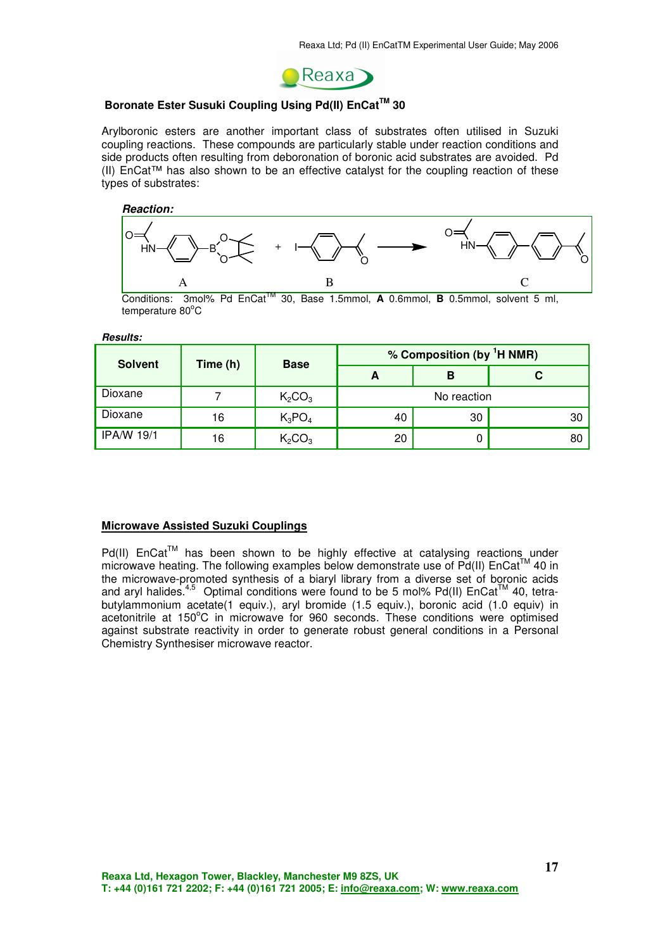

## **Boronate Ester Susuki Coupling Using Pd(II) EnCatTM 30**

Arylboronic esters are another important class of substrates often utilised in Suzuki coupling reactions. These compounds are particularly stable under reaction conditions and side products often resulting from deboronation of boronic acid substrates are avoided. Pd (II) EnCat™ has also shown to be an effective catalyst for the coupling reaction of these types of substrates:

**Reaction:** 



Conditions:  $3 \text{mol}$ % Pd EnCat<sup>TM</sup> 30, Base 1.5mmol, **A** 0.6mmol, **B** 0.5mmol, solvent 5 ml, temperature 80°C

**Results:** 

| <b>Solvent</b>    | Time (h) | <b>Base</b>                    |             | % Composition (by <sup>1</sup> H NMR) |    |
|-------------------|----------|--------------------------------|-------------|---------------------------------------|----|
|                   |          |                                | A           | в                                     |    |
| Dioxane           |          | K <sub>2</sub> CO <sub>3</sub> | No reaction |                                       |    |
| Dioxane           | 16       | $K_3PO_4$                      | 40          | 30                                    | 30 |
| <b>IPA/W 19/1</b> | 16       | K <sub>2</sub> CO <sub>3</sub> | 20          | υ                                     | 80 |

#### **Microwave Assisted Suzuki Couplings**

 $Pd(II)$  EnCat<sup>TM</sup> has been shown to be highly effective at catalysing reactions under microwave heating. The following examples below demonstrate use of  $Pd(II)$  EnCat<sup>TM</sup> 40 in the microwave-promoted synthesis of a biaryl library from a diverse set of boronic acids and aryl halides.<sup>4,5</sup> Optimal conditions were found to be 5 mol% Pd(II)  $Encat<sup>TM</sup>$  40, tetrabutylammonium acetate(1 equiv.), aryl bromide (1.5 equiv.), boronic acid (1.0 equiv) in acetonitrile at  $150^{\circ}$ C in microwave for 960 seconds. These conditions were optimised against substrate reactivity in order to generate robust general conditions in a Personal Chemistry Synthesiser microwave reactor.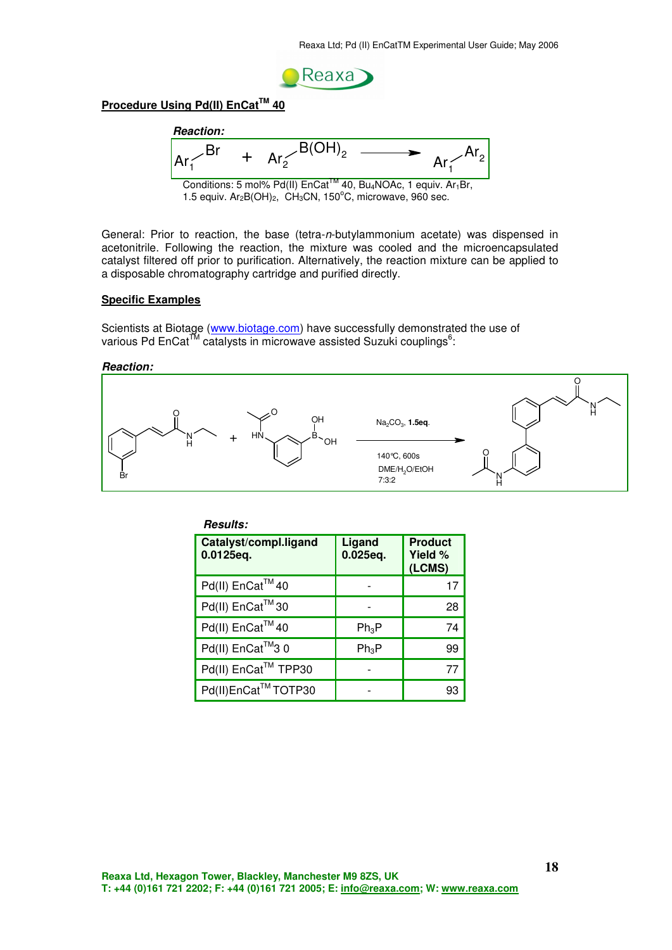

## **Procedure Using Pd(II) EnCatTM 40**



Conditions: 5 mol% Pd(II) EnCat<sup>™</sup> 40, Bu<sub>4</sub>NOAc, 1 equiv. Ar<sub>1</sub>Br, 1.5 equiv.  $Ar_2B(OH)_2$ ,  $CH_3CN$ , 150°C, microwave, 960 sec.

General: Prior to reaction, the base (tetra-n-butylammonium acetate) was dispensed in acetonitrile. Following the reaction, the mixture was cooled and the microencapsulated catalyst filtered off prior to purification. Alternatively, the reaction mixture can be applied to a disposable chromatography cartridge and purified directly.

#### **Specific Examples**

Scientists at Biotage (www.biotage.com) have successfully demonstrated the use of various Pd EnCat™ catalysts in microwave assisted Suzuki couplings<sup>6</sup>:

**Reaction:** 



| <b>Results:</b>                    |                    |                                     |
|------------------------------------|--------------------|-------------------------------------|
| Catalyst/compl.ligand<br>0.0125eq. | Ligand<br>0.025eq. | <b>Product</b><br>Yield %<br>(LCMS) |
| Pd(II) EnCat™40                    |                    | 17                                  |
| Pd(II) EnCat™30                    |                    | 28                                  |
| Pd(II) EnCat™40                    | $Ph_3P$            | 74                                  |
| Pd(II) EnCat™3 0                   | $Ph_3P$            | 99                                  |
| Pd(II) EnCat™ TPP30                |                    | 77                                  |
| Pd(II)EnCat™TOTP30                 |                    | 93                                  |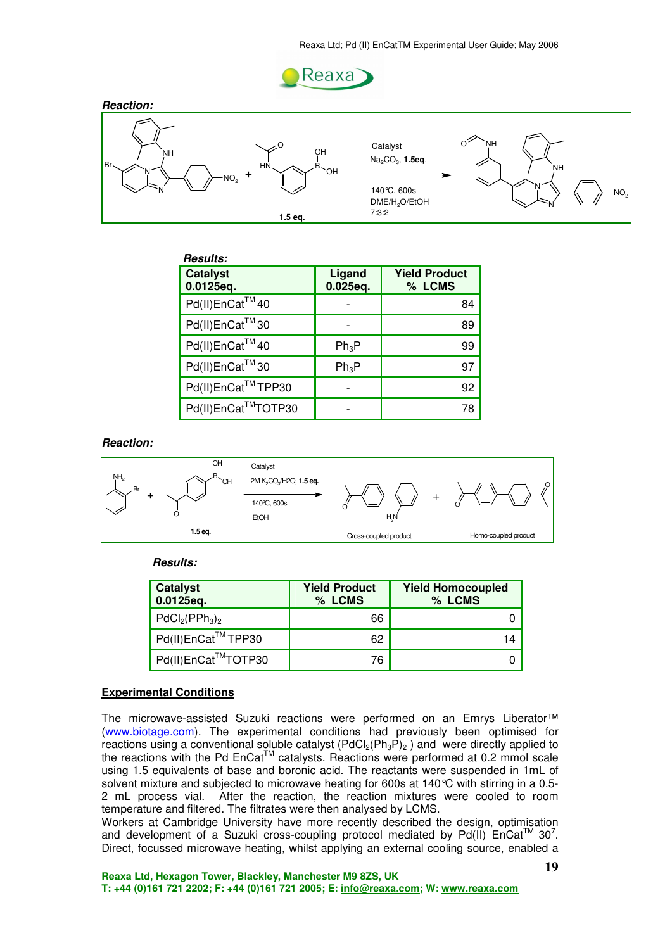



| <b>Results:</b>              |                    |                                |
|------------------------------|--------------------|--------------------------------|
| <b>Catalyst</b><br>0.0125eq. | Ligand<br>0.025eq. | <b>Yield Product</b><br>% LCMS |
| Pd(II)EnCat™40               |                    | 84                             |
| Pd(II)EnCat™30               |                    | 89                             |
| Pd(II)EnCat™40               | $Ph_3P$            | 99                             |
| Pd(II)EnCat™30               | $Ph_3P$            | 97                             |
| Pd(II)EnCat™TPP30            |                    | 92                             |
| Pd(II)EnCat™TOTP30           |                    | 78                             |

**Reaction:** 



**Results:** 

| <b>Catalyst</b><br>0.0125eq. | <b>Yield Product</b><br>% LCMS | <b>Yield Homocoupled</b><br>% LCMS |
|------------------------------|--------------------------------|------------------------------------|
| $PdCl2(PPh3)2$               | 66                             |                                    |
| Pd(II)EnCat™TPP30            | 62                             | 14                                 |
| Pd(II)EnCat™TOTP30           | 76                             |                                    |

#### **Experimental Conditions**

The microwave-assisted Suzuki reactions were performed on an Emrys Liberator™ (www.biotage.com). The experimental conditions had previously been optimised for reactions using a conventional soluble catalyst  $(PdCl<sub>2</sub>(Ph<sub>3</sub>P)<sub>2</sub>)$  and were directly applied to the reactions with the Pd EnCat<sup>TM</sup> catalysts. Reactions were performed at 0.2 mmol scale using 1.5 equivalents of base and boronic acid. The reactants were suspended in 1mL of solvent mixture and subjected to microwave heating for 600s at 140 °C with stirring in a 0.5-2 mL process vial. After the reaction, the reaction mixtures were cooled to room temperature and filtered. The filtrates were then analysed by LCMS.

Workers at Cambridge University have more recently described the design, optimisation and development of a Suzuki cross-coupling protocol mediated by Pd(II)  $\text{Encat}^{\text{TM}}$  30<sup>7</sup>. Direct, focussed microwave heating, whilst applying an external cooling source, enabled a

**Reaxa Ltd, Hexagon Tower, Blackley, Manchester M9 8ZS, UK T: +44 (0)161 721 2202; F: +44 (0)161 721 2005; E: info@reaxa.com; W: www.reaxa.com**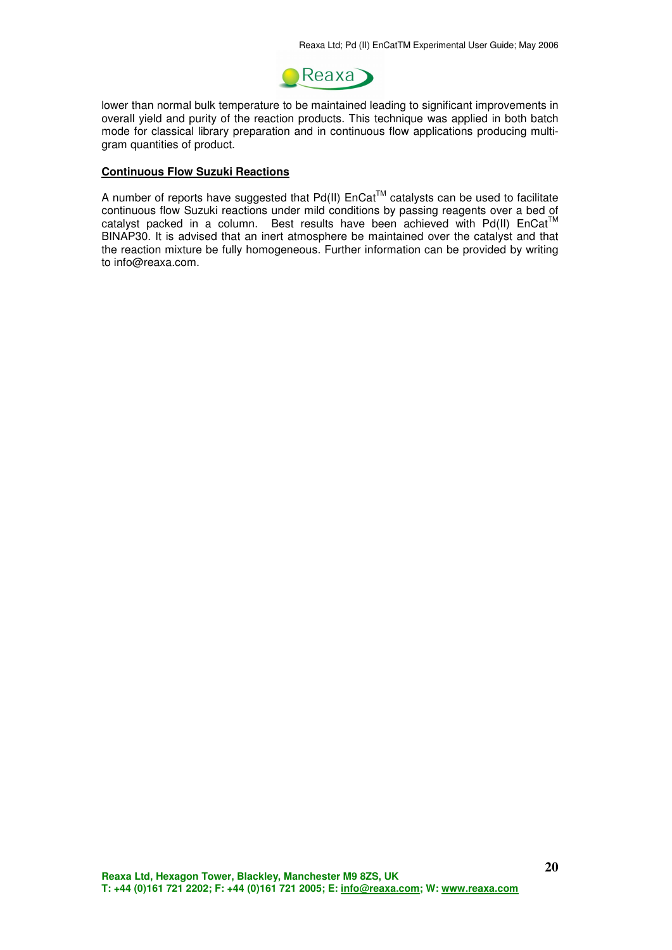

lower than normal bulk temperature to be maintained leading to significant improvements in overall yield and purity of the reaction products. This technique was applied in both batch mode for classical library preparation and in continuous flow applications producing multigram quantities of product.

#### **Continuous Flow Suzuki Reactions**

A number of reports have suggested that  $Pd(II)$  EnCat<sup>TM</sup> catalysts can be used to facilitate A number of reports have suggested that I dividend the conditions of passing reagents over a bed of continuous flow Suzuki reactions under mild conditions by passing reagents over a bed of catalyst packed in a column. Best results have been achieved with Pd(II)  $Encat<sup>T</sup>$ BINAP30. It is advised that an inert atmosphere be maintained over the catalyst and that the reaction mixture be fully homogeneous. Further information can be provided by writing to info@reaxa.com.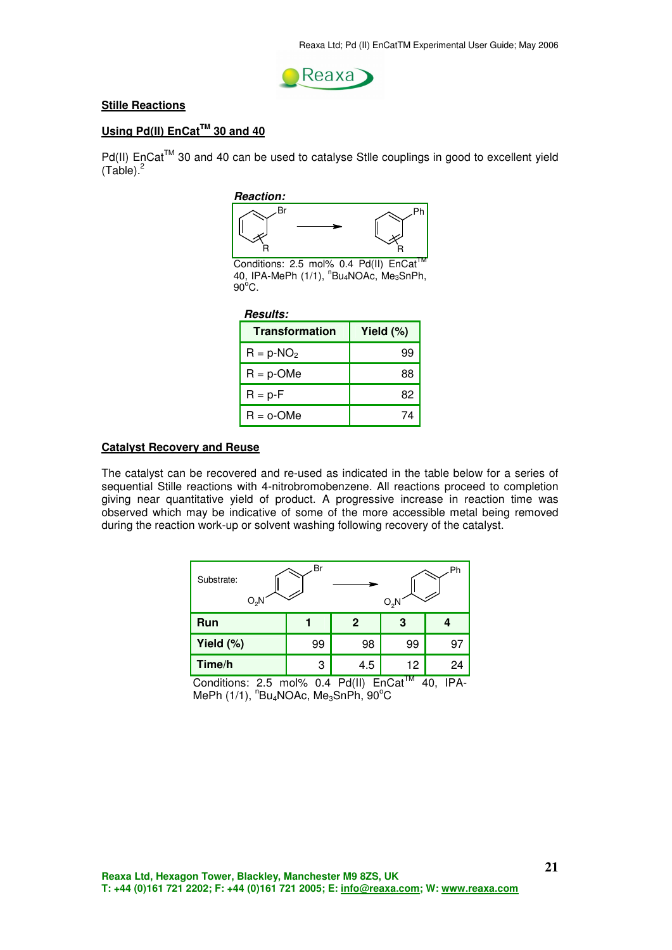

#### **Stille Reactions**

## **Using Pd(II) EnCatTM 30 and 40**

Pd(II) EnCat™ 30 and 40 can be used to catalyse Stlle couplings in good to excellent yield  $(Tab(e))^2$ 

#### **Reaction:**



Conditions: 2.5 mol% 0.4 Pd(II) EnCat 40, IPA-MePh (1/1), <sup>n</sup>Bu<sub>4</sub>NOAc, Me<sub>3</sub>SnPh,  $90^{\circ}$ C.

#### **Results:**

| <b>Transformation</b> | Yield $(\%)$ |  |
|-----------------------|--------------|--|
| $R = p-NO2$           | 99           |  |
| $R = p$ -OMe          | 88           |  |
| $R = p - F$           | 82           |  |
| $R = o$ -OMe          |              |  |

#### **Catalyst Recovery and Reuse**

The catalyst can be recovered and re-used as indicated in the table below for a series of sequential Stille reactions with 4-nitrobromobenzene. All reactions proceed to completion giving near quantitative yield of product. A progressive increase in reaction time was observed which may be indicative of some of the more accessible metal being removed during the reaction work-up or solvent washing following recovery of the catalyst.

| Br<br>Ph<br>Substrate:<br>O,N<br>O,N |    |     |           |    |  |
|--------------------------------------|----|-----|-----------|----|--|
| Run                                  |    | 2   | 3         |    |  |
| Yield (%)                            | 99 | 98  | 99        | 97 |  |
| Time/h                               | 3  | 4.5 | 12<br>___ | 24 |  |

Conditions: 2.5 mol% 0.4 Pd(II)  $EnCat^{TM}$  40, IPA- $\mathsf{MePh}\left(1/1\right),$   $^{\mathsf{n}}\mathsf{Bu}_{4}\mathsf{NOAc},$   $\mathsf{Me}_{3}\mathsf{SnPh},$   $\mathsf{90}^{\mathsf{o}}\mathsf{C}$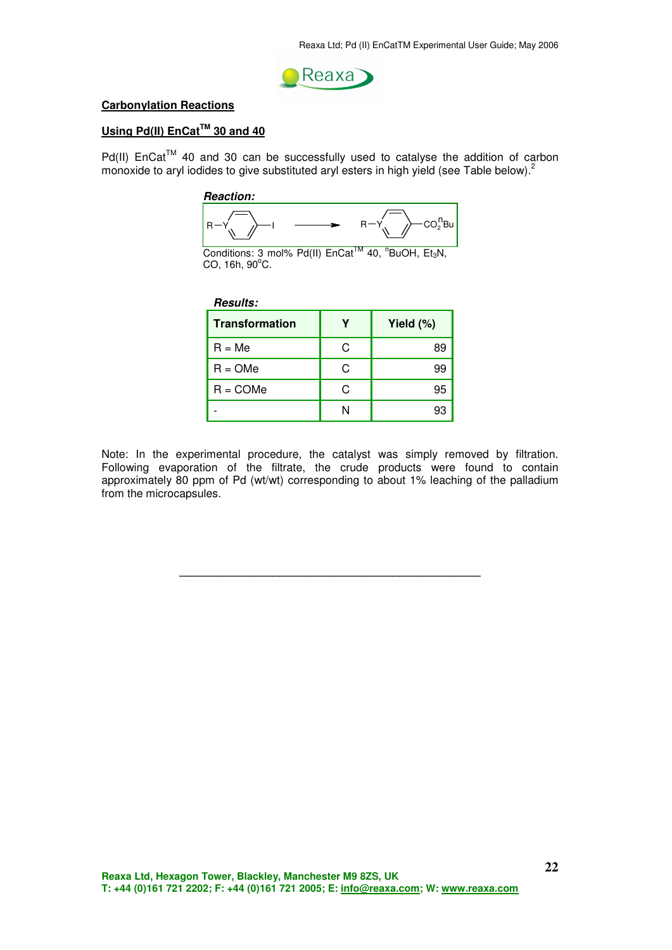

#### **Carbonylation Reactions**

## **Using Pd(II) EnCatTM 30 and 40**

Pd(II) EnCat™ 40 and 30 can be successfully used to catalyse the addition of carbon monoxide to aryl iodides to give substituted aryl esters in high yield (see Table below).<sup>2</sup>

 **Reaction:** 





| <b>Results:</b>       |   |           |  |
|-----------------------|---|-----------|--|
| <b>Transformation</b> |   | Yield (%) |  |
| $R = Me$              | C | 89        |  |
| $R = OMe$             | C | 99        |  |
| $R = COMe$            | C | 95        |  |
|                       | N | 93        |  |

Note: In the experimental procedure, the catalyst was simply removed by filtration. Following evaporation of the filtrate, the crude products were found to contain approximately 80 ppm of Pd (wt/wt) corresponding to about 1% leaching of the palladium from the microcapsules.

**\_\_\_\_\_\_\_\_\_\_\_\_\_\_\_\_\_\_\_\_\_\_\_\_\_\_\_\_\_\_\_\_\_\_\_\_\_\_\_\_\_\_\_\_\_\_\_\_**